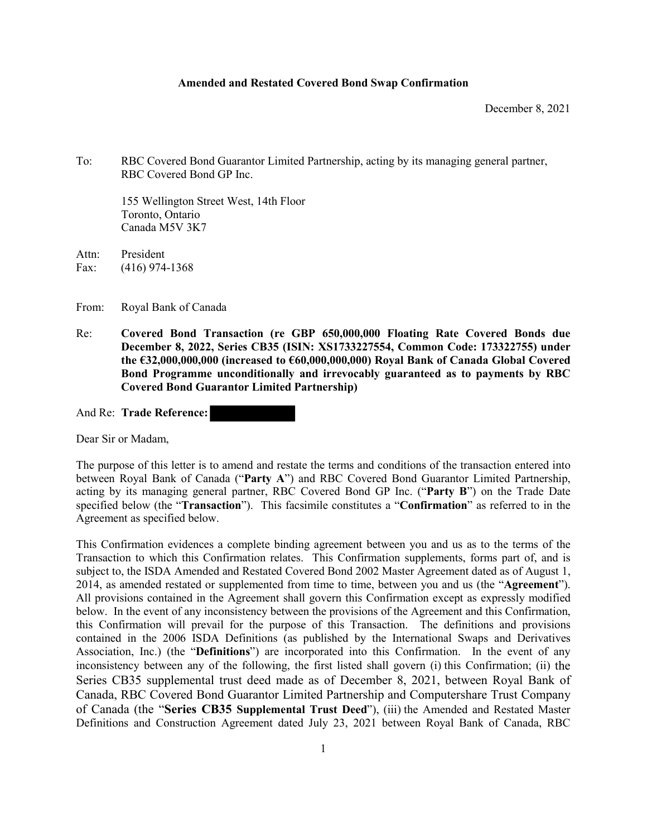#### **Amended and Restated Covered Bond Swap Confirmation**

December 8, 2021

To: RBC Covered Bond Guarantor Limited Partnership, acting by its managing general partner, RBC Covered Bond GP Inc.

155 Wellington Street West, 14th Floor Toronto, Ontario Canada M5V 3K7

Attn: President Fax: (416) 974-1368

From: Royal Bank of Canada

Re: **Covered Bond Transaction (re GBP 650,000,000 Floating Rate Covered Bonds due December 8, 2022, Series CB35 (ISIN: XS1733227554, Common Code: 173322755) under the €32,000,000,000 (increased to €60,000,000,000) Royal Bank of Canada Global Covered Bond Programme unconditionally and irrevocably guaranteed as to payments by RBC Covered Bond Guarantor Limited Partnership)** 

And Re: **Trade Reference:** 

Dear Sir or Madam,

The purpose of this letter is to amend and restate the terms and conditions of the transaction entered into between Royal Bank of Canada ("**Party A**") and RBC Covered Bond Guarantor Limited Partnership, acting by its managing general partner, RBC Covered Bond GP Inc. ("**Party B**") on the Trade Date specified below (the "**Transaction**"). This facsimile constitutes a "**Confirmation**" as referred to in the Agreement as specified below.

This Confirmation evidences a complete binding agreement between you and us as to the terms of the Transaction to which this Confirmation relates. This Confirmation supplements, forms part of, and is subject to, the ISDA Amended and Restated Covered Bond 2002 Master Agreement dated as of August 1, 2014, as amended restated or supplemented from time to time, between you and us (the "**Agreement**"). All provisions contained in the Agreement shall govern this Confirmation except as expressly modified below. In the event of any inconsistency between the provisions of the Agreement and this Confirmation, this Confirmation will prevail for the purpose of this Transaction. The definitions and provisions contained in the 2006 ISDA Definitions (as published by the International Swaps and Derivatives Association, Inc.) (the "**Definitions**") are incorporated into this Confirmation. In the event of any inconsistency between any of the following, the first listed shall govern (i) this Confirmation; (ii) the Series CB35 supplemental trust deed made as of December 8, 2021, between Royal Bank of Canada, RBC Covered Bond Guarantor Limited Partnership and Computershare Trust Company of Canada (the "**Series CB35 Supplemental Trust Deed**"), (iii) the Amended and Restated Master Definitions and Construction Agreement dated July 23, 2021 between Royal Bank of Canada, RBC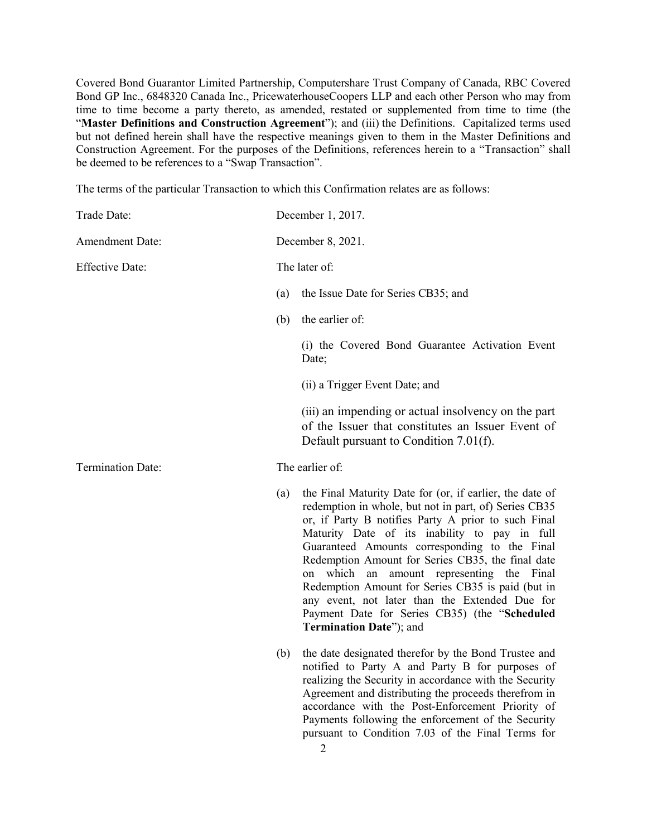Covered Bond Guarantor Limited Partnership, Computershare Trust Company of Canada, RBC Covered Bond GP Inc., 6848320 Canada Inc., PricewaterhouseCoopers LLP and each other Person who may from time to time become a party thereto, as amended, restated or supplemented from time to time (the "**Master Definitions and Construction Agreement**"); and (iii) the Definitions. Capitalized terms used but not defined herein shall have the respective meanings given to them in the Master Definitions and Construction Agreement. For the purposes of the Definitions, references herein to a "Transaction" shall be deemed to be references to a "Swap Transaction".

The terms of the particular Transaction to which this Confirmation relates are as follows:

| Trade Date:              |     | December 1, 2017.                                                                                                                                                                                                                                                                                                                                                                                                                                                                                                                                                        |
|--------------------------|-----|--------------------------------------------------------------------------------------------------------------------------------------------------------------------------------------------------------------------------------------------------------------------------------------------------------------------------------------------------------------------------------------------------------------------------------------------------------------------------------------------------------------------------------------------------------------------------|
| <b>Amendment Date:</b>   |     | December 8, 2021.                                                                                                                                                                                                                                                                                                                                                                                                                                                                                                                                                        |
| <b>Effective Date:</b>   |     | The later of:                                                                                                                                                                                                                                                                                                                                                                                                                                                                                                                                                            |
|                          | (a) | the Issue Date for Series CB35; and                                                                                                                                                                                                                                                                                                                                                                                                                                                                                                                                      |
|                          | (b) | the earlier of:                                                                                                                                                                                                                                                                                                                                                                                                                                                                                                                                                          |
|                          |     | (i) the Covered Bond Guarantee Activation Event<br>Date;                                                                                                                                                                                                                                                                                                                                                                                                                                                                                                                 |
|                          |     | (ii) a Trigger Event Date; and                                                                                                                                                                                                                                                                                                                                                                                                                                                                                                                                           |
|                          |     | (iii) an impending or actual insolvency on the part<br>of the Issuer that constitutes an Issuer Event of<br>Default pursuant to Condition 7.01(f).                                                                                                                                                                                                                                                                                                                                                                                                                       |
| <b>Termination Date:</b> |     | The earlier of:                                                                                                                                                                                                                                                                                                                                                                                                                                                                                                                                                          |
|                          | (a) | the Final Maturity Date for (or, if earlier, the date of<br>redemption in whole, but not in part, of) Series CB35<br>or, if Party B notifies Party A prior to such Final<br>Maturity Date of its inability to pay in full<br>Guaranteed Amounts corresponding to the Final<br>Redemption Amount for Series CB35, the final date<br>which an<br>amount representing the<br>Final<br>on<br>Redemption Amount for Series CB35 is paid (but in<br>any event, not later than the Extended Due for<br>Payment Date for Series CB35) (the "Scheduled<br>Termination Date"); and |
|                          | (b) | the date designated therefor by the Bond Trustee and<br>notified to Party A and Party B for purposes of<br>realizing the Security in accordance with the Security<br>Agreement and distributing the proceeds therefrom in<br>accordance with the Post-Enforcement Priority of<br>Payments following the enforcement of the Security<br>pursuant to Condition 7.03 of the Final Terms for<br>$\overline{2}$                                                                                                                                                               |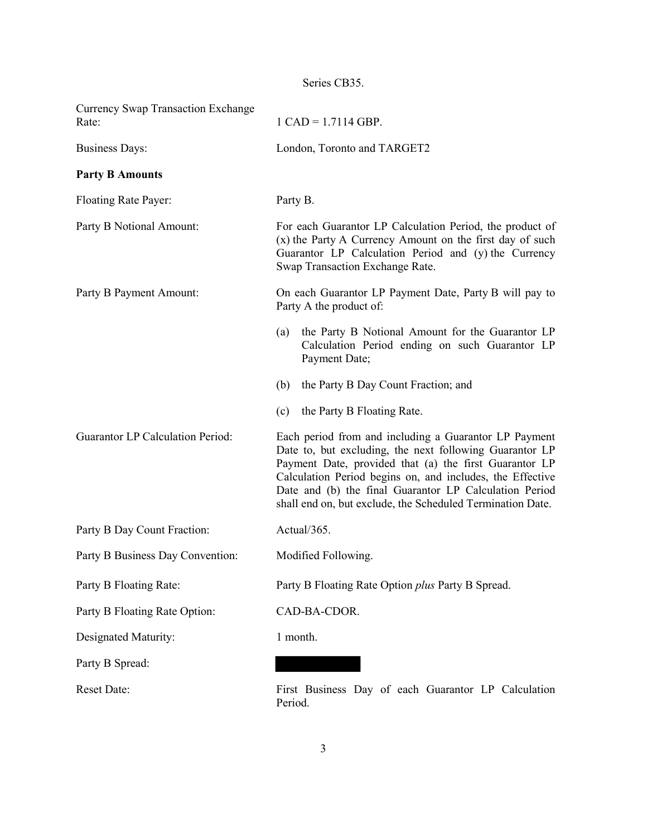|                                                    | Series CB35.                                                                                                                                                                                                                                                                                                                                                    |
|----------------------------------------------------|-----------------------------------------------------------------------------------------------------------------------------------------------------------------------------------------------------------------------------------------------------------------------------------------------------------------------------------------------------------------|
| <b>Currency Swap Transaction Exchange</b><br>Rate: | $1$ CAD = 1.7114 GBP.                                                                                                                                                                                                                                                                                                                                           |
| <b>Business Days:</b>                              | London, Toronto and TARGET2                                                                                                                                                                                                                                                                                                                                     |
| <b>Party B Amounts</b>                             |                                                                                                                                                                                                                                                                                                                                                                 |
| <b>Floating Rate Payer:</b>                        | Party B.                                                                                                                                                                                                                                                                                                                                                        |
| Party B Notional Amount:                           | For each Guarantor LP Calculation Period, the product of<br>$(x)$ the Party A Currency Amount on the first day of such<br>Guarantor LP Calculation Period and (y) the Currency<br>Swap Transaction Exchange Rate.                                                                                                                                               |
| Party B Payment Amount:                            | On each Guarantor LP Payment Date, Party B will pay to<br>Party A the product of:                                                                                                                                                                                                                                                                               |
|                                                    | the Party B Notional Amount for the Guarantor LP<br>(a)<br>Calculation Period ending on such Guarantor LP<br>Payment Date;                                                                                                                                                                                                                                      |
|                                                    | the Party B Day Count Fraction; and<br>(b)                                                                                                                                                                                                                                                                                                                      |
|                                                    | the Party B Floating Rate.<br>(c)                                                                                                                                                                                                                                                                                                                               |
| <b>Guarantor LP Calculation Period:</b>            | Each period from and including a Guarantor LP Payment<br>Date to, but excluding, the next following Guarantor LP<br>Payment Date, provided that (a) the first Guarantor LP<br>Calculation Period begins on, and includes, the Effective<br>Date and (b) the final Guarantor LP Calculation Period<br>shall end on, but exclude, the Scheduled Termination Date. |
| Party B Day Count Fraction:                        | Actual/365.                                                                                                                                                                                                                                                                                                                                                     |
| Party B Business Day Convention:                   | Modified Following.                                                                                                                                                                                                                                                                                                                                             |
| Party B Floating Rate:                             | Party B Floating Rate Option plus Party B Spread.                                                                                                                                                                                                                                                                                                               |
| Party B Floating Rate Option:                      | CAD-BA-CDOR.                                                                                                                                                                                                                                                                                                                                                    |
| Designated Maturity:                               | 1 month.                                                                                                                                                                                                                                                                                                                                                        |
| Party B Spread:                                    |                                                                                                                                                                                                                                                                                                                                                                 |
| <b>Reset Date:</b>                                 | First Business Day of each Guarantor LP Calculation<br>Period.                                                                                                                                                                                                                                                                                                  |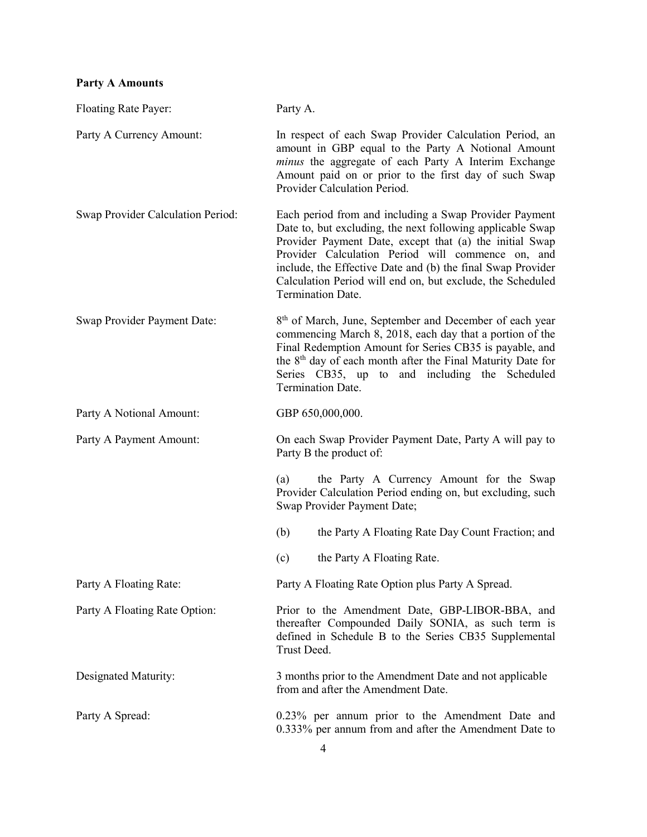# **Party A Amounts**

| Floating Rate Payer:              | Party A.                                                                                                                                                                                                                                                                                                                                                                               |  |
|-----------------------------------|----------------------------------------------------------------------------------------------------------------------------------------------------------------------------------------------------------------------------------------------------------------------------------------------------------------------------------------------------------------------------------------|--|
| Party A Currency Amount:          | In respect of each Swap Provider Calculation Period, an<br>amount in GBP equal to the Party A Notional Amount<br>minus the aggregate of each Party A Interim Exchange<br>Amount paid on or prior to the first day of such Swap<br>Provider Calculation Period.                                                                                                                         |  |
| Swap Provider Calculation Period: | Each period from and including a Swap Provider Payment<br>Date to, but excluding, the next following applicable Swap<br>Provider Payment Date, except that (a) the initial Swap<br>Provider Calculation Period will commence on, and<br>include, the Effective Date and (b) the final Swap Provider<br>Calculation Period will end on, but exclude, the Scheduled<br>Termination Date. |  |
| Swap Provider Payment Date:       | 8 <sup>th</sup> of March, June, September and December of each year<br>commencing March 8, 2018, each day that a portion of the<br>Final Redemption Amount for Series CB35 is payable, and<br>the 8 <sup>th</sup> day of each month after the Final Maturity Date for<br>Series CB35, up to and including the Scheduled<br>Termination Date.                                           |  |
| Party A Notional Amount:          | GBP 650,000,000.                                                                                                                                                                                                                                                                                                                                                                       |  |
| Party A Payment Amount:           | On each Swap Provider Payment Date, Party A will pay to<br>Party B the product of:                                                                                                                                                                                                                                                                                                     |  |
|                                   | the Party A Currency Amount for the Swap<br>(a)<br>Provider Calculation Period ending on, but excluding, such<br>Swap Provider Payment Date;                                                                                                                                                                                                                                           |  |
|                                   | the Party A Floating Rate Day Count Fraction; and<br>(b)                                                                                                                                                                                                                                                                                                                               |  |
|                                   | the Party A Floating Rate.<br>(c)                                                                                                                                                                                                                                                                                                                                                      |  |
| Party A Floating Rate:            | Party A Floating Rate Option plus Party A Spread.                                                                                                                                                                                                                                                                                                                                      |  |
| Party A Floating Rate Option:     | Prior to the Amendment Date, GBP-LIBOR-BBA, and<br>thereafter Compounded Daily SONIA, as such term is<br>defined in Schedule B to the Series CB35 Supplemental<br>Trust Deed.                                                                                                                                                                                                          |  |
| Designated Maturity:              | 3 months prior to the Amendment Date and not applicable<br>from and after the Amendment Date.                                                                                                                                                                                                                                                                                          |  |
| Party A Spread:                   | 0.23% per annum prior to the Amendment Date and<br>0.333% per annum from and after the Amendment Date to                                                                                                                                                                                                                                                                               |  |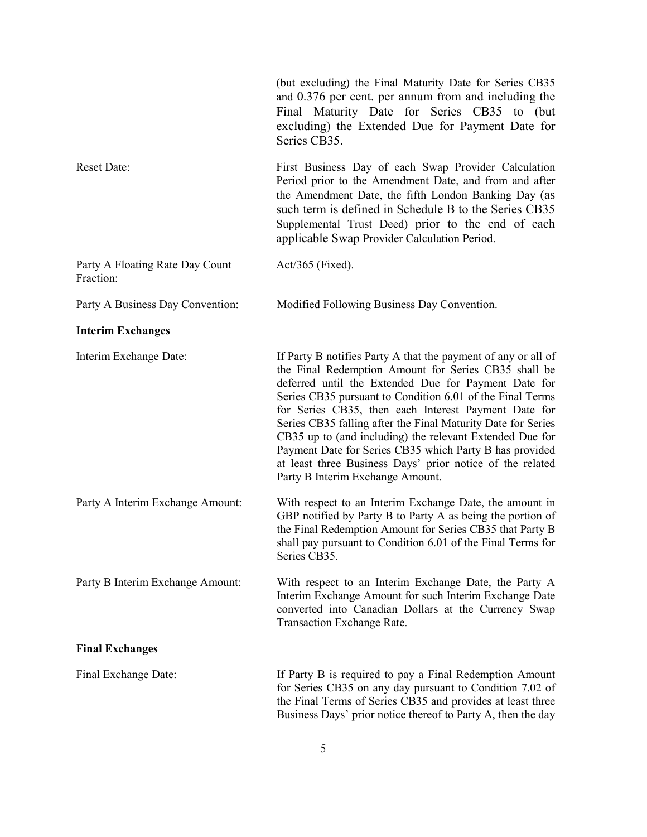|                                              | (but excluding) the Final Maturity Date for Series CB35<br>and 0.376 per cent. per annum from and including the<br>Final Maturity Date for Series CB35 to (but<br>excluding) the Extended Due for Payment Date for<br>Series CB35.                                                                                                                                                                                                                                                                                                                                                         |
|----------------------------------------------|--------------------------------------------------------------------------------------------------------------------------------------------------------------------------------------------------------------------------------------------------------------------------------------------------------------------------------------------------------------------------------------------------------------------------------------------------------------------------------------------------------------------------------------------------------------------------------------------|
| <b>Reset Date:</b>                           | First Business Day of each Swap Provider Calculation<br>Period prior to the Amendment Date, and from and after<br>the Amendment Date, the fifth London Banking Day (as<br>such term is defined in Schedule B to the Series CB35<br>Supplemental Trust Deed) prior to the end of each<br>applicable Swap Provider Calculation Period.                                                                                                                                                                                                                                                       |
| Party A Floating Rate Day Count<br>Fraction: | Act/365 (Fixed).                                                                                                                                                                                                                                                                                                                                                                                                                                                                                                                                                                           |
| Party A Business Day Convention:             | Modified Following Business Day Convention.                                                                                                                                                                                                                                                                                                                                                                                                                                                                                                                                                |
| <b>Interim Exchanges</b>                     |                                                                                                                                                                                                                                                                                                                                                                                                                                                                                                                                                                                            |
| Interim Exchange Date:                       | If Party B notifies Party A that the payment of any or all of<br>the Final Redemption Amount for Series CB35 shall be<br>deferred until the Extended Due for Payment Date for<br>Series CB35 pursuant to Condition 6.01 of the Final Terms<br>for Series CB35, then each Interest Payment Date for<br>Series CB35 falling after the Final Maturity Date for Series<br>CB35 up to (and including) the relevant Extended Due for<br>Payment Date for Series CB35 which Party B has provided<br>at least three Business Days' prior notice of the related<br>Party B Interim Exchange Amount. |
| Party A Interim Exchange Amount:             | With respect to an Interim Exchange Date, the amount in<br>GBP notified by Party B to Party A as being the portion of<br>the Final Redemption Amount for Series CB35 that Party B<br>shall pay pursuant to Condition 6.01 of the Final Terms for<br>Series CB35.                                                                                                                                                                                                                                                                                                                           |
| Party B Interim Exchange Amount:             | With respect to an Interim Exchange Date, the Party A<br>Interim Exchange Amount for such Interim Exchange Date<br>converted into Canadian Dollars at the Currency Swap<br>Transaction Exchange Rate.                                                                                                                                                                                                                                                                                                                                                                                      |
| <b>Final Exchanges</b>                       |                                                                                                                                                                                                                                                                                                                                                                                                                                                                                                                                                                                            |
| Final Exchange Date:                         | If Party B is required to pay a Final Redemption Amount<br>for Series CB35 on any day pursuant to Condition 7.02 of<br>the Final Terms of Series CB35 and provides at least three<br>Business Days' prior notice thereof to Party A, then the day                                                                                                                                                                                                                                                                                                                                          |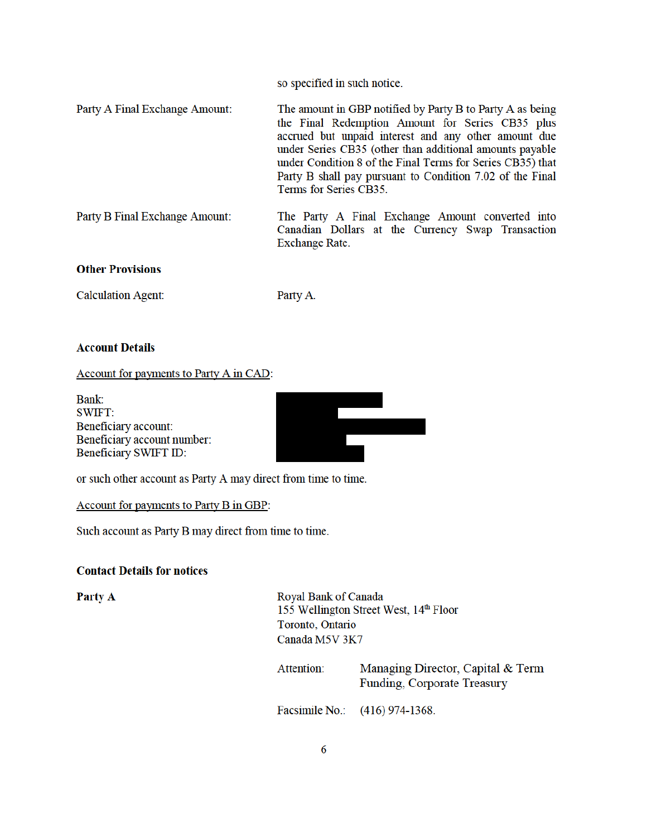so specified in such notice.

Party A Final Exchange Amount: The amount in GBP notified by Party B to Party A as being the Final Redemption Amount for Series CB35 plus accrued but unpaid interest and any other amount due under Series CB35 (other than additional amounts payable under Condition 8 of the Final Terms for Series CB35) that Party B shall pay pursuant to Condition 7.02 of the Final Terms for Series CB35. Party B Final Exchange Amount: The Party A Final Exchange Amount converted into Canadian Dollars at the Currency Swap Transaction Exchange Rate.

#### **Other Provisions**

Party A. **Calculation Agent:** 

### **Account Details**

Account for payments to Party A in CAD:

Bank: **SWIFT:** Beneficiary account: Beneficiary account number: **Beneficiary SWIFT ID:** 

or such other account as Party A may direct from time to time.

### Account for payments to Party B in GBP:

Such account as Party B may direct from time to time.

### **Contact Details for notices**

Party A

Royal Bank of Canada 155 Wellington Street West, 14th Floor **Toronto**, Ontario Canada M5V 3K7

<u>esta</u>

| Attention: | Managing Director, Capital & Term<br>Funding, Corporate Treasury |
|------------|------------------------------------------------------------------|
|            | Facsimile No.: (416) 974-1368.                                   |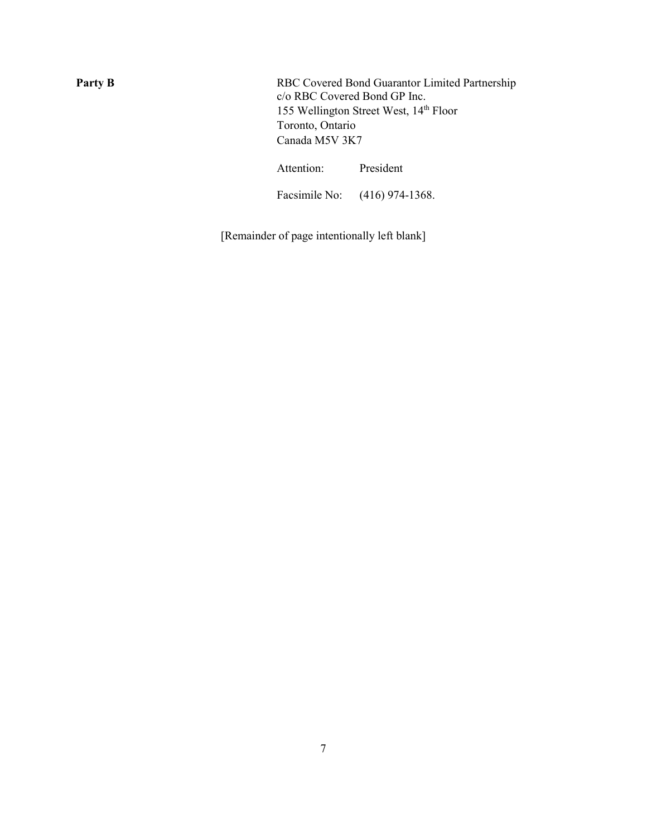Party B **Party B** RBC Covered Bond Guarantor Limited Partnership c/o RBC Covered Bond GP Inc. 155 Wellington Street West, 14<sup>th</sup> Floor Toronto, Ontario Canada M5V 3K7

Attention: President

Facsimile No: (416) 974-1368.

[Remainder of page intentionally left blank]